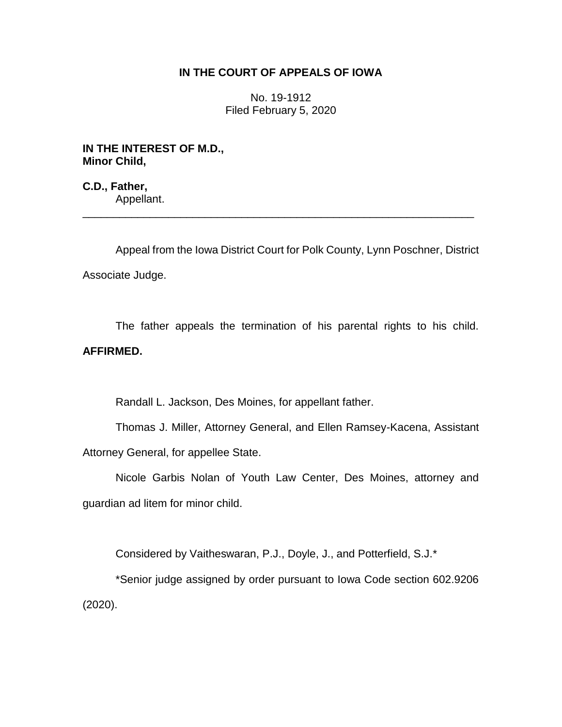## **IN THE COURT OF APPEALS OF IOWA**

No. 19-1912 Filed February 5, 2020

**IN THE INTEREST OF M.D., Minor Child,**

**C.D., Father,** Appellant. \_\_\_\_\_\_\_\_\_\_\_\_\_\_\_\_\_\_\_\_\_\_\_\_\_\_\_\_\_\_\_\_\_\_\_\_\_\_\_\_\_\_\_\_\_\_\_\_\_\_\_\_\_\_\_\_\_\_\_\_\_\_\_\_

Appeal from the Iowa District Court for Polk County, Lynn Poschner, District Associate Judge.

The father appeals the termination of his parental rights to his child. **AFFIRMED.**

Randall L. Jackson, Des Moines, for appellant father.

Thomas J. Miller, Attorney General, and Ellen Ramsey-Kacena, Assistant Attorney General, for appellee State.

Nicole Garbis Nolan of Youth Law Center, Des Moines, attorney and guardian ad litem for minor child.

Considered by Vaitheswaran, P.J., Doyle, J., and Potterfield, S.J.\*

\*Senior judge assigned by order pursuant to Iowa Code section 602.9206 (2020).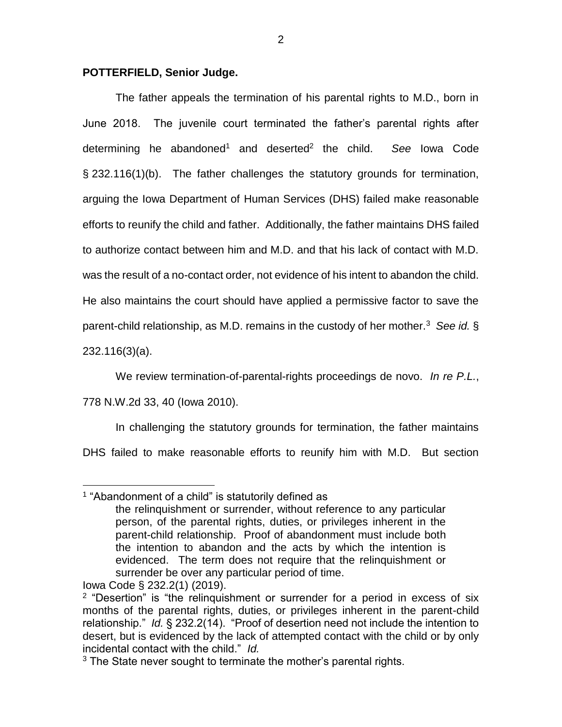## **POTTERFIELD, Senior Judge.**

The father appeals the termination of his parental rights to M.D., born in June 2018. The juvenile court terminated the father's parental rights after determining he abandoned<sup>1</sup> and deserted<sup>2</sup> the child. *See* Iowa Code § 232.116(1)(b). The father challenges the statutory grounds for termination, arguing the Iowa Department of Human Services (DHS) failed make reasonable efforts to reunify the child and father. Additionally, the father maintains DHS failed to authorize contact between him and M.D. and that his lack of contact with M.D. was the result of a no-contact order, not evidence of his intent to abandon the child. He also maintains the court should have applied a permissive factor to save the parent-child relationship, as M.D. remains in the custody of her mother.<sup>3</sup> See id. §

232.116(3)(a).

We review termination-of-parental-rights proceedings de novo. *In re P.L.*,

## 778 N.W.2d 33, 40 (Iowa 2010).

In challenging the statutory grounds for termination, the father maintains DHS failed to make reasonable efforts to reunify him with M.D. But section

 $\overline{a}$ <sup>1</sup> "Abandonment of a child" is statutorily defined as the relinquishment or surrender, without reference to any particular person, of the parental rights, duties, or privileges inherent in the parent-child relationship. Proof of abandonment must include both the intention to abandon and the acts by which the intention is evidenced. The term does not require that the relinquishment or surrender be over any particular period of time.

Iowa Code § 232.2(1) (2019).

<sup>&</sup>lt;sup>2</sup> "Desertion" is "the relinquishment or surrender for a period in excess of six months of the parental rights, duties, or privileges inherent in the parent-child relationship." *Id.* § 232.2(14). "Proof of desertion need not include the intention to desert, but is evidenced by the lack of attempted contact with the child or by only incidental contact with the child." *Id.* 

 $3$  The State never sought to terminate the mother's parental rights.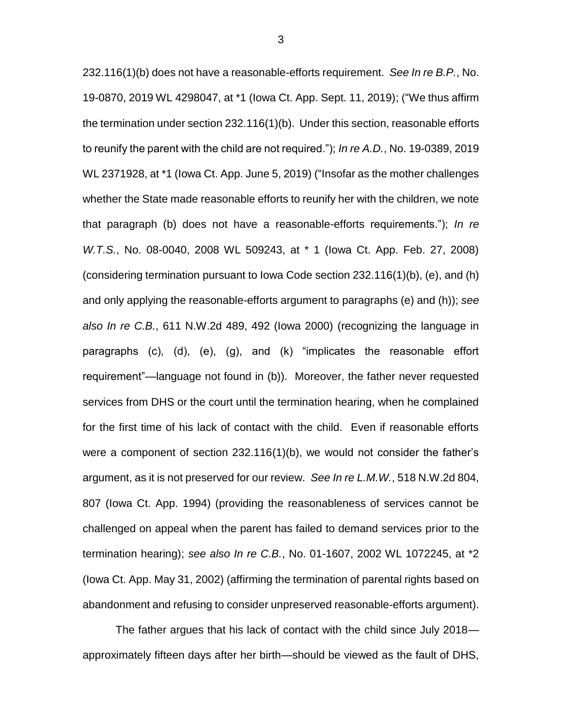232.116(1)(b) does not have a reasonable-efforts requirement. *See In re B.P.*, No. 19-0870, 2019 WL 4298047, at \*1 (Iowa Ct. App. Sept. 11, 2019); ("We thus affirm the termination under section 232.116(1)(b). Under this section, reasonable efforts to reunify the parent with the child are not required."); *In re A.D.*, No. 19-0389, 2019 WL 2371928, at \*1 (Iowa Ct. App. June 5, 2019) ("Insofar as the mother challenges whether the State made reasonable efforts to reunify her with the children, we note that paragraph (b) does not have a reasonable-efforts requirements."); *In re W.T.S.*, No. 08-0040, 2008 WL 509243, at \* 1 (Iowa Ct. App. Feb. 27, 2008) (considering termination pursuant to Iowa Code section 232.116(1)(b), (e), and (h) and only applying the reasonable-efforts argument to paragraphs (e) and (h)); *see also In re C.B.*, 611 N.W.2d 489, 492 (Iowa 2000) (recognizing the language in paragraphs (c), (d), (e), (g), and (k) "implicates the reasonable effort requirement"—language not found in (b)). Moreover, the father never requested services from DHS or the court until the termination hearing, when he complained for the first time of his lack of contact with the child. Even if reasonable efforts were a component of section 232.116(1)(b), we would not consider the father's argument, as it is not preserved for our review. *See In re L.M.W.*, 518 N.W.2d 804, 807 (Iowa Ct. App. 1994) (providing the reasonableness of services cannot be challenged on appeal when the parent has failed to demand services prior to the termination hearing); *see also In re C.B.*, No. 01-1607, 2002 WL 1072245, at \*2 (Iowa Ct. App. May 31, 2002) (affirming the termination of parental rights based on abandonment and refusing to consider unpreserved reasonable-efforts argument).

The father argues that his lack of contact with the child since July 2018 approximately fifteen days after her birth—should be viewed as the fault of DHS,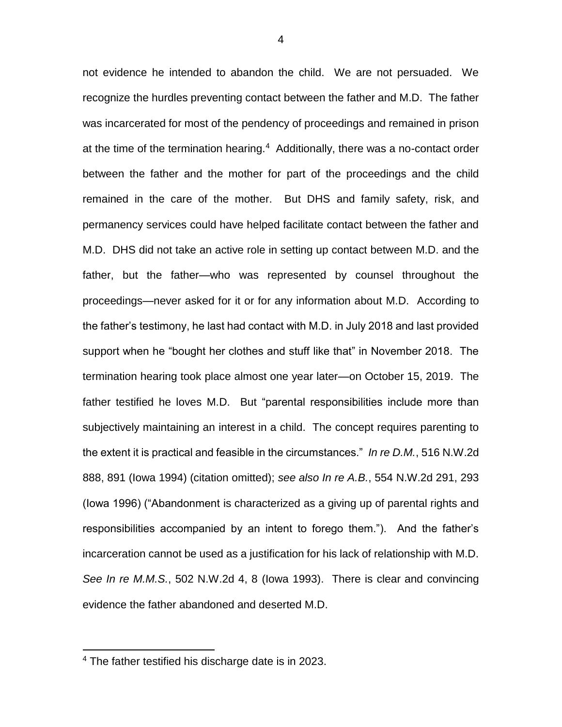not evidence he intended to abandon the child. We are not persuaded. We recognize the hurdles preventing contact between the father and M.D. The father was incarcerated for most of the pendency of proceedings and remained in prison at the time of the termination hearing.<sup>4</sup> Additionally, there was a no-contact order between the father and the mother for part of the proceedings and the child remained in the care of the mother. But DHS and family safety, risk, and permanency services could have helped facilitate contact between the father and M.D. DHS did not take an active role in setting up contact between M.D. and the father, but the father—who was represented by counsel throughout the proceedings—never asked for it or for any information about M.D. According to the father's testimony, he last had contact with M.D. in July 2018 and last provided support when he "bought her clothes and stuff like that" in November 2018. The termination hearing took place almost one year later—on October 15, 2019. The father testified he loves M.D. But "parental responsibilities include more than subjectively maintaining an interest in a child. The concept requires parenting to the extent it is practical and feasible in the circumstances." *In re D.M.*, 516 N.W.2d 888, 891 (Iowa 1994) (citation omitted); *see also In re A.B.*, 554 N.W.2d 291, 293 (Iowa 1996) ("Abandonment is characterized as a giving up of parental rights and responsibilities accompanied by an intent to forego them."). And the father's incarceration cannot be used as a justification for his lack of relationship with M.D. *See In re M.M.S.*, 502 N.W.2d 4, 8 (Iowa 1993). There is clear and convincing evidence the father abandoned and deserted M.D.

 $\overline{a}$ 

<sup>4</sup> The father testified his discharge date is in 2023.